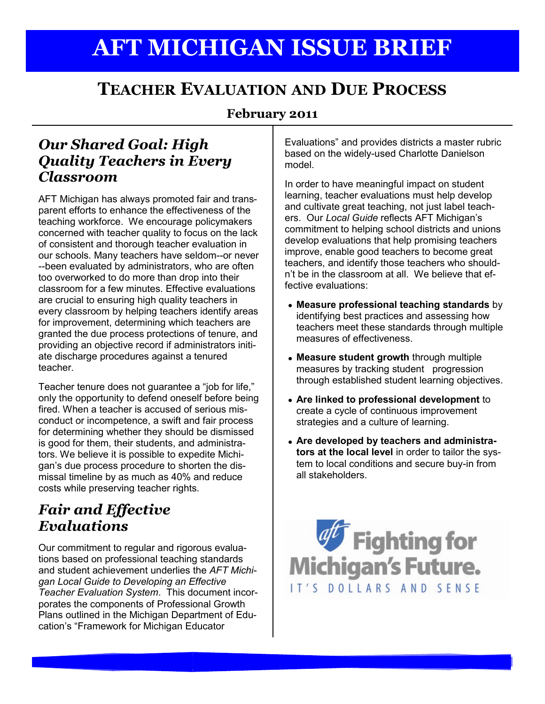# **AFT MICHIGAN ISSUE BRIEF**

## **TEACHER EVALUATION AND DUE PROCESS**

#### **February 2011**

### *Our Shared Goal: High Quality Teachers in Every Classroom*

AFT Michigan has always promoted fair and transparent efforts to enhance the effectiveness of the teaching workforce. We encourage policymakers concerned with teacher quality to focus on the lack of consistent and thorough teacher evaluation in our schools. Many teachers have seldom--or never --been evaluated by administrators, who are often too overworked to do more than drop into their classroom for a few minutes. Effective evaluations are crucial to ensuring high quality teachers in every classroom by helping teachers identify areas for improvement, determining which teachers are granted the due process protections of tenure, and providing an objective record if administrators initiate discharge procedures against a tenured teacher.

Teacher tenure does not guarantee a "job for life," only the opportunity to defend oneself before being fired. When a teacher is accused of serious misconduct or incompetence, a swift and fair process for determining whether they should be dismissed is good for them, their students, and administrators. We believe it is possible to expedite Michigan's due process procedure to shorten the dismissal timeline by as much as 40% and reduce costs while preserving teacher rights.

## *Fair and Effective Evaluations*

Our commitment to regular and rigorous evaluations based on professional teaching standards and student achievement underlies the *AFT Michigan Local Guide to Developing an Effective Teacher Evaluation System*. This document incorporates the components of Professional Growth Plans outlined in the Michigan Department of Education's "Framework for Michigan Educator

Evaluations" and provides districts a master rubric based on the widely-used Charlotte Danielson model.

In order to have meaningful impact on student learning, teacher evaluations must help develop and cultivate great teaching, not just label teachers. Our *Local Guide* reflects AFT Michigan's commitment to helping school districts and unions develop evaluations that help promising teachers improve, enable good teachers to become great teachers, and identify those teachers who shouldn't be in the classroom at all. We believe that effective evaluations:

- **Measure professional teaching standards** by identifying best practices and assessing how teachers meet these standards through multiple measures of effectiveness.
- **Measure student growth** through multiple measures by tracking student progression through established student learning objectives.
- **Are linked to professional development** to create a cycle of continuous improvement strategies and a culture of learning.
- **Are developed by teachers and administrators at the local level** in order to tailor the system to local conditions and secure buy-in from all stakeholders.

**aff** Fighting for **Michigan's Future.** IT'S DOLLARS AND SENSE